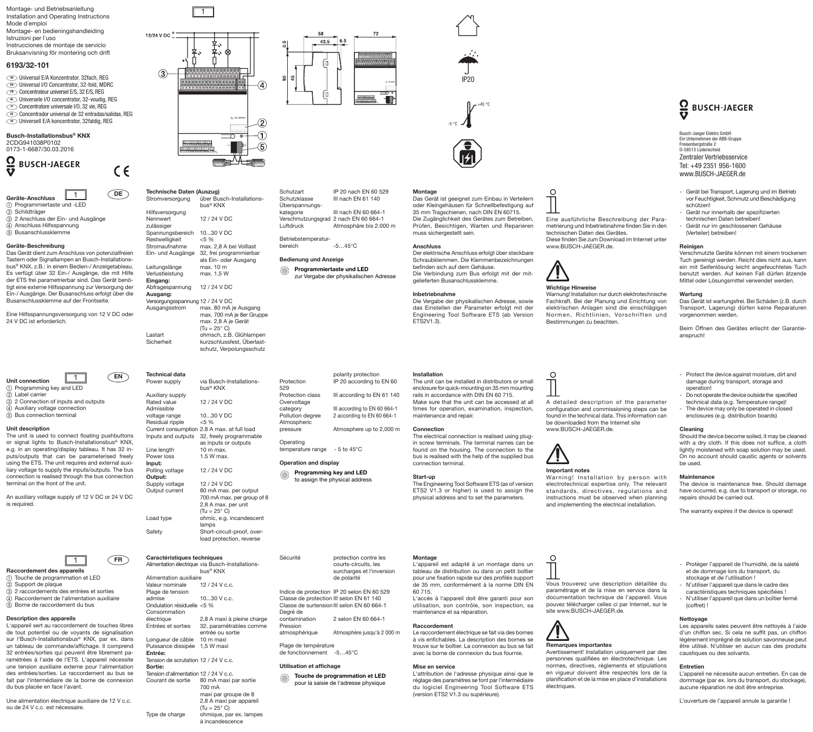Montage- und Betriebsanleitung Installation and Operating Instructions Mode d´emploi Montage- en bedieningshandleiding Istruzioni per l´uso Instrucciones de montaje de servicio

# Bruksanvisning för montering och drift

# **6193/32-101**

Universal E/A Konzentrator, 32fach, REG DE **EN** Universal I/O Concentrator, 32-fold, MDRC **ER** Concentrateur universel E/S, 32 E/S, REG **W** Universele I/O concentrator, 32-voudig, REG **D** Concentratore universale I/O, 32 vie, REG Concentrador universal de 32 entradas/salidas, REG ES **ED Universell E/A koncentrator, 32faldig, REG** 

### **Busch-Installationsbus® KNX** 2CDG941038P0102 0173-1-6687/30.03.2016



 $\epsilon$ 



d Anschluss Hilfsspannung  $\overline{6}$  Busanschlussklemme

# **Geräte-Beschreibung**

Das Gerät dient zum Anschluss von potenzialfreien Tastern oder Signallampen an Busch-Installationsbus® KNX, z.B.: in einem Bedien-/ Anzeigetableau. Es verfügt über 32 Ein-/ Ausgänge, die mit Hilfe der ETS frei parametrierbar sind. Das Gerät benötigt eine externe Hilfsspannung zur Versorgung der Ein-/ Ausgänge. Der Busanschluss erfolgt über die Busanschlussklemme auf der Frontseite.

Eine Hilfsspannungsversorgung von 12 V DC oder 24 V DC ist erforderlich.



 $\bar{a}$  2 Connection of inputs and outputs d Auxiliary voltage connection  $6$  Bus connection terminal

# **Unit description**

The unit is used to connect floating pushbuttons or signal lights to Busch-Installationsbus® KNX, e.g. in an operating/display tableau. It has 32 inputs/outputs that can be parameterised freely using the ETS. The unit requires and external auxiliary voltage to supply the inputs/outputs. The bus connection is realised through the bus connection terminal on the front of the unit.

An auxiliary voltage supply of 12 V DC or 24 V DC is required.



- a Touche de programmation et LED
- $\overline{2}$  Support de plaque c 2 raccordements des entrées et sorties
- $\widetilde{a}$  Raccordement de l'alimentation auxiliaire
- $\widetilde{B}$  Borne de raccordement du bus

# **Description des appareils**

L'appareil sert au raccordement de touches libres de tout potentiel ou de voyants de signalisation sur l'Busch-Installationsbus<sup>®</sup> KNX, par ex. dans un tableau de commande/affichage. Il comprend 32 entrées/sorties qui peuvent être librement paramétrées à l'aide de l'ETS. L'appareil nécessite une tension auxiliaire externe pour l'alimentation des entrées/sorties. Le raccordement au bus se fait par l'intermédiaire de la borne de connexion du bus placée en face l'avant.

Une alimentation électrique auxiliaire de 12 V c.c. ou de 24 V c.c. est nécessaire.



1

| DE                   | Technische Daten (Auszug)<br>Stromversorgung                  | über Busch-Installations-<br>bus <sup>®</sup> KNX                         | Schutzart<br>Schutzklasse<br>Überspannungs- | IP 20 nach EN 60 529<br>III nach EN 61 140                         | Montage<br>Das Gerä<br>oder Klei   |
|----------------------|---------------------------------------------------------------|---------------------------------------------------------------------------|---------------------------------------------|--------------------------------------------------------------------|------------------------------------|
|                      | Hilfsversorgung                                               |                                                                           | kategorie                                   | III nach EN 60 664-1                                               | 35 mm Tr                           |
|                      | Nennwert<br>zulässiger                                        | 12 / 24 V DC                                                              | Luftdruck                                   | Verschmutzungsgrad 2 nach EN 60 664-1<br>Atmosphäre bis 2.000 m    | Die Zugä<br>Prüfen, E              |
|                      | Spannungsbereich                                              | 1030 V DC                                                                 |                                             |                                                                    | muss sich                          |
|                      | Restwelligkeit                                                | $< 5 \%$                                                                  | Betriebstemperatur-                         |                                                                    |                                    |
|                      | Stromaufnahme                                                 | max. 2,8 A bei Volllast                                                   | bereich                                     | $-545^{\circ}$ C                                                   | <b>Anschlus</b>                    |
| ialfreien            | Ein- und Ausgänge                                             | 32, frei programmierbar                                                   |                                             |                                                                    | Der elektr                         |
| lations-             |                                                               | <b>Bedienung und Anzeige</b><br>als Ein- oder Ausgang                     |                                             |                                                                    | Schraubk<br>befinden               |
| ableau.<br>nit Hilfe | Leitungslänge<br>Verlustleistung                              | max. 10 m<br>max. 1,5 W                                                   |                                             | Programmiertaste und LED<br>zur Vergabe der physikalischen Adresse |                                    |
| it benö-             | Eingang:                                                      |                                                                           |                                             |                                                                    | qelieferte                         |
| ung der              | Abfragespannung                                               | 12 / 24 V DC                                                              |                                             |                                                                    |                                    |
| iber die             | Ausgang:<br>Versorgungsspannung 12 / 24 V DC<br>Ausgangsstrom | max. 80 mA je Ausgang                                                     |                                             |                                                                    | Inbetrieb<br>Die Verga<br>das Eins |
| )C oder              |                                                               | max. 700 mA je 8er Gruppe<br>max. 2,8 A je Gerät<br>$(Tu = 25^{\circ} C)$ |                                             |                                                                    | Engineer<br>ETS2V1.3               |
|                      | Lastart                                                       | ohmsch, z.B. Glühlampen                                                   |                                             |                                                                    |                                    |
|                      | Sicherheit                                                    | kurzschlussfest, Überlast-                                                |                                             |                                                                    |                                    |

schutz, Verpolungsschutz

| <b>EN</b>                | Technical data     |                                             |                              | polarity protection            | Installation  |
|--------------------------|--------------------|---------------------------------------------|------------------------------|--------------------------------|---------------|
|                          | Power supply       | via Busch-Installations-                    | Protection                   | IP 20 according to EN 60       | The unit car  |
| <b>LED</b>               |                    | bus <sup>®</sup> KNX                        | 529                          |                                | enclosure fo  |
|                          | Auxiliary supply   |                                             | <b>Protection class</b>      | III according to EN 61 140     | rails in accc |
| and outputs              | Rated value        | 12 / 24 V DC                                | Overvoltage                  |                                | Make sure     |
| ction                    | Admissible         |                                             | category                     | III according to EN 60 664-1   | times for o   |
|                          | voltage range      | 1030 V DC                                   | Pollution degree             | 2 according to EN 60 664-1     | maintenanc    |
|                          | Residual ripple    | $< 5 \%$                                    | Atmospheric                  |                                |               |
|                          |                    | Current consumption 2.8 A max. at full load | pressure                     | Atmosphere up to 2,000 m       | Connection    |
| ct floating pushbuttons  | Inputs and outputs | 32, freely programmable                     |                              |                                | The electric  |
| -Installationsbus® KNX,  |                    | as inputs or outputs                        | Operating                    |                                | in screw ter  |
| y tableau. It has 32 in- | Line length        | 10 m max.                                   | temperature range            | $-5$ to 45 $^{\circ}$ C        | found on th   |
| e parameterised freely   | Power loss         | 1.5 W max.                                  |                              |                                | bus is realis |
| uires and external auxi- | Input:             |                                             | <b>Operation and display</b> |                                | connection    |
| inputs/outputs. The bus  | Polling voltage    | 12 / 24 V DC                                |                              | Programming key and LED        |               |
| ugh the bus connection   | Output:            |                                             |                              | to assign the physical address | Start-up      |
| unit.                    | Supply voltage     | 12 / 24 V DC                                |                              |                                | The Enginee   |
|                          | Output current     | 80 mA max, per output                       |                              |                                | ETS2 V1.3     |
| of 12 V DC or 24 V DC    |                    | 700 mA max. per group of 8                  |                              |                                | physical ad   |
|                          |                    | 2.8 A max. per unit                         |                              |                                |               |
|                          |                    | $(Tu = 25^{\circ} C)$                       |                              |                                |               |
|                          | Load type          | ohmic, e.g. incandescent                    |                              |                                |               |
|                          |                    | lamps                                       |                              |                                |               |
|                          | Safety             | Short-circuit-proof, over-                  |                              |                                |               |
|                          |                    | load protection, reverse                    |                              |                                |               |

**Technical data**

| Caractéristiques techniques           |                                                  |
|---------------------------------------|--------------------------------------------------|
|                                       | Alimentation électrique via Busch-Installations- |
|                                       | bus® KNX                                         |
| Alimentation auxiliaire               |                                                  |
| Valeur nominale                       | 12/24 V c.c.                                     |
| Plage de tension                      |                                                  |
| admise                                | $1030$ V c.c.                                    |
| Ondulation résiduelle <5 %            |                                                  |
| Consommation                          |                                                  |
| électrique                            | 2,8 A maxi à pleine charge                       |
| Entrées et sorties                    | 32, paramétrables comme                          |
|                                       | entrée ou sortie                                 |
| Lonqueur de câble 10 m maxi           |                                                  |
| Puissance dissipée 1,5 W maxi         |                                                  |
| Entrée:                               |                                                  |
| Tension de scrutation 12 / 24 V c.c.  |                                                  |
| Sortie:                               |                                                  |
| Tension d'alimentation 12 / 24 V c.c. |                                                  |
| Courant de sortie                     | 80 mA maxi par sortie                            |
|                                       | 700 mA                                           |
|                                       | maxi par groupe de 8                             |
|                                       | 2,8 A maxi par appareil                          |
|                                       | $(Tu = 25^{\circ} C)$                            |
| Type de charge                        | ohmique, par ex. lampes                          |

à incandescence

43.5

6.5

polarity protection

# **Inbetriebnahme**

Die Vergabe der physikalischen Adresse, sowie das Einstellen der Parameter erfolgt mit der Engineering Tool Software ETS (ab Version ETS2V1.3).

gelieferten Busanschlussklemme.

The unit can be installed in distributors or small enclosure for quick-mounting on 35 mm mounting rails in accordance with DIN EN 60 715. Make sure that the unit can be accessed at all times for operation, examination, inspection,

# **Operation and display**

Sécurité protection contre les

Indice de protection IP 20 selon EN 60 529 Classe de protection III selon EN 61 140 Classe de surtensionIII selon EN 60 664-1

contamination 2 selon EN 60 664-1

courts-circuits, les surcharges et l'inversion

de polarité

# maintenance and repair. **Connection** Protection **IP** 20 according to EN 60 III according to EN 61 140 category<br>
Pollution degree 2 according to EN 60 664-1 2 according to EN 60 664-1 pressure Atmosphere up to 2,000 m

# The electrical connection is realised using plug-

connection terminal.

# **Start-up**

The Engineering Tool Software ETS (as of version ETS2 V1.3 or higher) is used to assign the physical address and to set the parameters.

### **Montage**

L'appareil est adapté à un montage dans un tableau de distribution ou dans un petit boîtier pour une fixation rapide sur des profilés support de 35 mm, conformément à la norme DIN EN 60 715. L'accès à l'appareil doit être garanti pour son utilisation, son contrôle, son inspection, sa

avec la borne de connexion du bus fournie.

(version ETS2 V1.3 ou supérieure).

L'attribution de l'adresse physique ainsi que le réglage des paramètres se font par l'intermédiaire du logiciel Engineering Tool Software ETS

# **Raccordement**

**Mise en service**

maintenance et sa réparation.

Le raccordement électrique se fait via des bornes à vis enfichables. La description des bornes se trouve sur le boîtier. La connexion au bus se fait atmosphérique Atmosphère jusqu'à 2 000 m

Plage de température de fonctionnement -5…45°C

# **Utilisation et affichage**

Degré de

Pression

**Touche de programmation et LED**  $\bigcirc$ pour la saisie de l'adresse physique



Das Gerät ist geeignet zum Einbau in Verteilern oder Kleingehäusen für Schnellbefestigung auf 35 mm Tragschienen, nach DIN EN 60715. Die Zugänglichkeit des Gerätes zum Betreiben, Prüfen, Besichtigen, Warten und Reparieren muss sichergestellt sein.

# **Anschluss**

Der elektrische Anschluss erfolgt über steckbare Schraubklemmen. Die Klemmenbezeichnungen befinden sich auf dem Gehäuse. Die Verbindung zum Bus erfolgt mit der mit-

www.BUSCH-JAEGER.de.

 $\Omega$ 



technischen Daten des Gerätes.

Warnung! Installation nur durch elektrotechnische Fachkraft. Bei der Planung und Errichtung von elektrischen Anlagen sind die einschlägigen Normen, Richtlinien, Vorschriften und Bestimmungen zu beachten.

Eine ausführliche Beschreibung der Parametrierung und Inbetriebnahme finden Sie in den

Diese finden Sie zum Download im Internet unter

 $\Omega$ 

### A detailed description of the parameter configuration and commissioning steps can be found in the technical data. This information can be downloaded from the Internet site www.BUSCH-JAEGER.de.



**Important notes**

Warning! Installation by person with electrotechnical expertise only. The relevant standards, directives, regulations and instructions must be observed when planning and implementing the electrical installation.



# Vous trouverez une description détaillée du paramétrage et de la mise en service dans la documentation technique de l'appareil. Vous pouvez télécharger celles ci par Internet, sur le site www.BUSCH-JAEGER.de.



# **Remarques importantes**

Avertissement! Installation uniquement par des personnes qualifiées en électrotechnique. Les normes, directives, règlements et stipulations en vigueur doivent être respectés lors de la planification et de la mise en place d'installations électriques.

# $\mathbf Q$ **BUSCH-JAEGER**

Busch-Jaeger Elektro GmbH Ein Unternehmen der ABB-Gruppe Freisenbergstraße 2 D-58513 Lüdenscheid Zentraler Vertriebsservice Tel: +49 2351 956-1600 www.BUSCH-JAEGER.de

- Gerät bei Transport, Lagerung und im Betrieb vor Feuchtigkeit, Schmutz und Beschädigung schützen!
- Gerät nur innerhalb der spezifizierten
- technischen Daten betreiben! - Gerät nur im geschlossenen Gehäuse (Verteiler) betreiben!

# **Reinigen**

Verschmutzte Geräte können mit einem trockenen Tuch gereinigt werden. Reicht dies nicht aus, kann ein mit Seifenlösung leicht angefeuchtetes Tuch benutzt werden. Auf keinen Fall dürfen ätzende Mittel oder Lösungsmittel verwendet werden.

# **Wartung**

Das Gerät ist wartungsfrei. Bei Schäden (z.B. durch Transport, Lagerung) dürfen keine Reparaturen vorgenommen werden.

Beim Öffnen des Gerätes erlischt der Garantieanspruch!

- Protect the device against moisture, dirt and damage during transport, storage and operation!
- Do not operate the device outside the specified technical data (e.g. Temperature range)! - The device may only be operated in closed
- enclosures (e.g. distribution boards)

# **Cleaning**

Should the device become soiled, it may be cleaned with a dry cloth. If this does not suffice, a cloth lightly moistened with soap solution may be used. On no account should caustic agents or solvents be used.

#### **Maintenance**

The device is maintenance free. Should damage have occurred, e.g. due to transport or storage, no repairs should be carried out.

The warranty expires if the device is opened!

- Protéger l'appareil de l'humidité, de la saleté et de dommage lors du transport, du
- stockage et de l'utilisation ! - N'utiliser l'appareil que dans le cadre des
- caractéristiques techniques spécifiées ! - N'utiliser l'appareil que dans un boîtier fermé (coffret) !

# **Nettoyage**

Les appareils sales peuvent être nettoyés à l'aide d'un chiffon sec. Si cela ne suffit pas, un chiffon légèrement imprégné de solution savonneuse peut être utilisé. N'utiliser en aucun cas des produits caustiques ou des solvants.

## **Entretien**

L'appareil ne nécessite aucun entretien. En cas de dommage (par ex. lors du transport, du stockage), aucune réparation ne doit être entreprise.

L'ouverture de l'appareil annule la garantie !